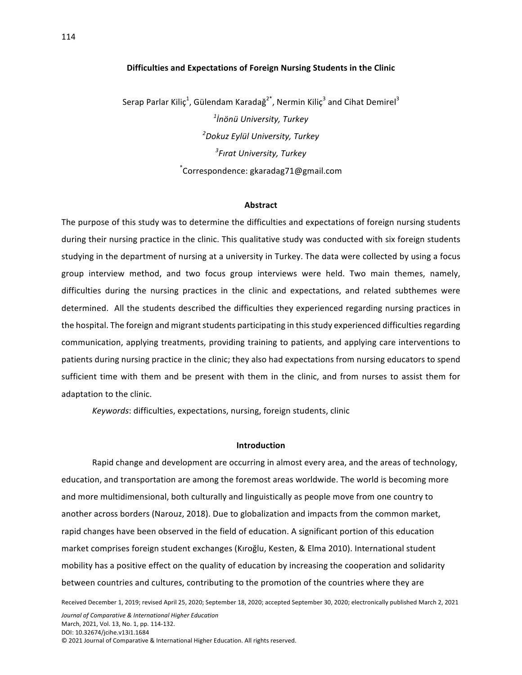## **Difficulties and Expectations of Foreign Nursing Students in the Clinic**

Serap Parlar Kiliç $^1$ , Gülendam Karadağ $^{2^*}$ , Nermin Kiliç $^3$  and Cihat Demirel $^3$ *1 İnönü University, Turkey 2 Dokuz Eylül University, Turkey 3 Fırat University, Turkey* \* Correspondence: gkaradag71@gmail.com

### **Abstract**

The purpose of this study was to determine the difficulties and expectations of foreign nursing students during their nursing practice in the clinic. This qualitative study was conducted with six foreign students studying in the department of nursing at a university in Turkey. The data were collected by using a focus group interview method, and two focus group interviews were held. Two main themes, namely, difficulties during the nursing practices in the clinic and expectations, and related subthemes were determined. All the students described the difficulties they experienced regarding nursing practices in the hospital. The foreign and migrant students participating in this study experienced difficulties regarding communication, applying treatments, providing training to patients, and applying care interventions to patients during nursing practice in the clinic; they also had expectations from nursing educators to spend sufficient time with them and be present with them in the clinic, and from nurses to assist them for adaptation to the clinic.

*Keywords*: difficulties, expectations, nursing, foreign students, clinic

## **Introduction**

Rapid change and development are occurring in almost every area, and the areas of technology, education, and transportation are among the foremost areas worldwide. The world is becoming more and more multidimensional, both culturally and linguistically as people move from one country to another across borders (Narouz, 2018). Due to globalization and impacts from the common market, rapid changes have been observed in the field of education. A significant portion of this education market comprises foreign student exchanges (Kıroğlu, Kesten, & Elma 2010). International student mobility has a positive effect on the quality of education by increasing the cooperation and solidarity between countries and cultures, contributing to the promotion of the countries where they are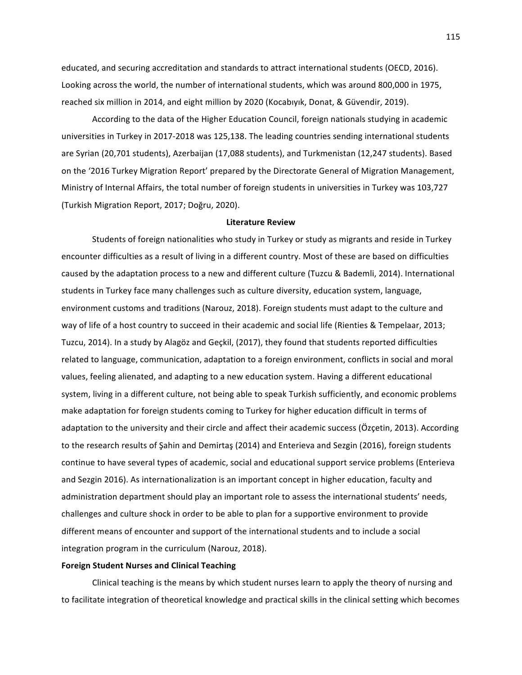educated, and securing accreditation and standards to attract international students (OECD, 2016). Looking across the world, the number of international students, which was around 800,000 in 1975, reached six million in 2014, and eight million by 2020 (Kocabıyık, Donat, & Güvendir, 2019).

According to the data of the Higher Education Council, foreign nationals studying in academic universities in Turkey in 2017-2018 was 125,138. The leading countries sending international students are Syrian (20,701 students), Azerbaijan (17,088 students), and Turkmenistan (12,247 students). Based on the '2016 Turkey Migration Report' prepared by the Directorate General of Migration Management, Ministry of Internal Affairs, the total number of foreign students in universities in Turkey was 103,727 (Turkish Migration Report, 2017; Doğru, 2020). 

# **Literature Review**

Students of foreign nationalities who study in Turkey or study as migrants and reside in Turkey encounter difficulties as a result of living in a different country. Most of these are based on difficulties caused by the adaptation process to a new and different culture (Tuzcu & Bademli, 2014). International students in Turkey face many challenges such as culture diversity, education system, language, environment customs and traditions (Narouz, 2018). Foreign students must adapt to the culture and way of life of a host country to succeed in their academic and social life (Rienties & Tempelaar, 2013; Tuzcu, 2014). In a study by Alagöz and Geçkil, (2017), they found that students reported difficulties related to language, communication, adaptation to a foreign environment, conflicts in social and moral values, feeling alienated, and adapting to a new education system. Having a different educational system, living in a different culture, not being able to speak Turkish sufficiently, and economic problems make adaptation for foreign students coming to Turkey for higher education difficult in terms of adaptation to the university and their circle and affect their academic success (Özcetin, 2013). According to the research results of Şahin and Demirtaş (2014) and Enterieva and Sezgin (2016), foreign students continue to have several types of academic, social and educational support service problems (Enterieva and Sezgin 2016). As internationalization is an important concept in higher education, faculty and administration department should play an important role to assess the international students' needs, challenges and culture shock in order to be able to plan for a supportive environment to provide different means of encounter and support of the international students and to include a social integration program in the curriculum (Narouz, 2018).

### **Foreign Student Nurses and Clinical Teaching**

Clinical teaching is the means by which student nurses learn to apply the theory of nursing and to facilitate integration of theoretical knowledge and practical skills in the clinical setting which becomes

115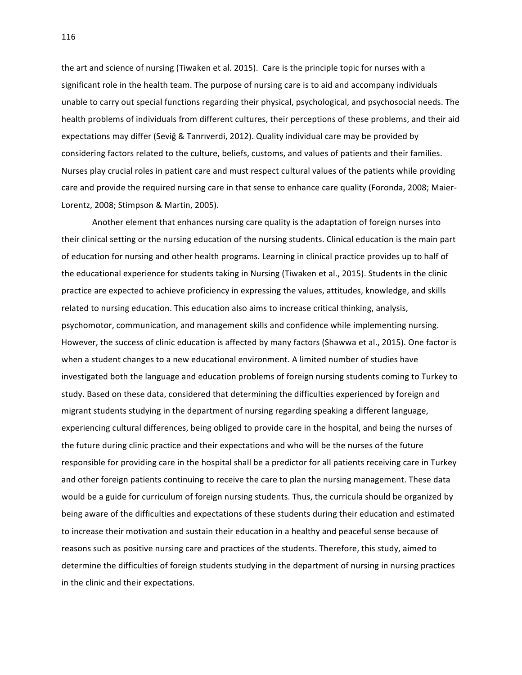the art and science of nursing (Tiwaken et al. 2015). Care is the principle topic for nurses with a significant role in the health team. The purpose of nursing care is to aid and accompany individuals unable to carry out special functions regarding their physical, psychological, and psychosocial needs. The health problems of individuals from different cultures, their perceptions of these problems, and their aid expectations may differ (Sevig & Tanrıverdi, 2012). Quality individual care may be provided by considering factors related to the culture, beliefs, customs, and values of patients and their families. Nurses play crucial roles in patient care and must respect cultural values of the patients while providing care and provide the required nursing care in that sense to enhance care quality (Foronda, 2008; Maier-Lorentz, 2008; Stimpson & Martin, 2005).

Another element that enhances nursing care quality is the adaptation of foreign nurses into their clinical setting or the nursing education of the nursing students. Clinical education is the main part of education for nursing and other health programs. Learning in clinical practice provides up to half of the educational experience for students taking in Nursing (Tiwaken et al., 2015). Students in the clinic practice are expected to achieve proficiency in expressing the values, attitudes, knowledge, and skills related to nursing education. This education also aims to increase critical thinking, analysis, psychomotor, communication, and management skills and confidence while implementing nursing. However, the success of clinic education is affected by many factors (Shawwa et al., 2015). One factor is when a student changes to a new educational environment. A limited number of studies have investigated both the language and education problems of foreign nursing students coming to Turkey to study. Based on these data, considered that determining the difficulties experienced by foreign and migrant students studying in the department of nursing regarding speaking a different language, experiencing cultural differences, being obliged to provide care in the hospital, and being the nurses of the future during clinic practice and their expectations and who will be the nurses of the future responsible for providing care in the hospital shall be a predictor for all patients receiving care in Turkey and other foreign patients continuing to receive the care to plan the nursing management. These data would be a guide for curriculum of foreign nursing students. Thus, the curricula should be organized by being aware of the difficulties and expectations of these students during their education and estimated to increase their motivation and sustain their education in a healthy and peaceful sense because of reasons such as positive nursing care and practices of the students. Therefore, this study, aimed to determine the difficulties of foreign students studying in the department of nursing in nursing practices in the clinic and their expectations.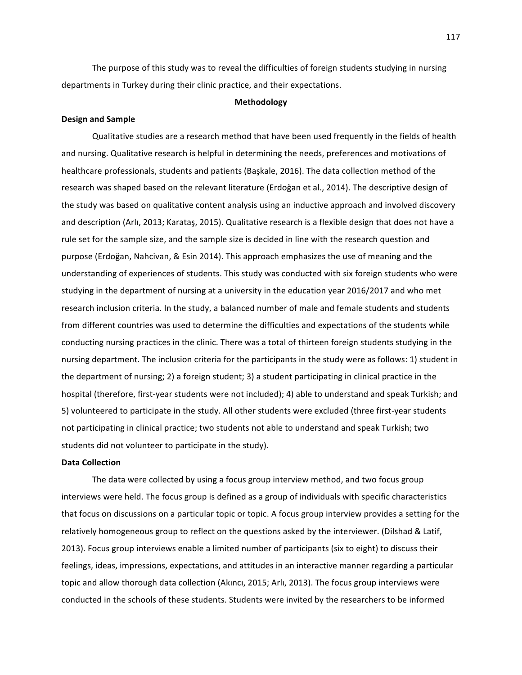The purpose of this study was to reveal the difficulties of foreign students studying in nursing departments in Turkey during their clinic practice, and their expectations.

### **Methodology**

### **Design and Sample**

Qualitative studies are a research method that have been used frequently in the fields of health and nursing. Qualitative research is helpful in determining the needs, preferences and motivations of healthcare professionals, students and patients (Başkale, 2016). The data collection method of the research was shaped based on the relevant literature (Erdoğan et al., 2014). The descriptive design of the study was based on qualitative content analysis using an inductive approach and involved discovery and description (Arlı, 2013; Karataş, 2015). Qualitative research is a flexible design that does not have a rule set for the sample size, and the sample size is decided in line with the research question and purpose (Erdoğan, Nahcivan, & Esin 2014). This approach emphasizes the use of meaning and the understanding of experiences of students. This study was conducted with six foreign students who were studying in the department of nursing at a university in the education year 2016/2017 and who met research inclusion criteria. In the study, a balanced number of male and female students and students from different countries was used to determine the difficulties and expectations of the students while conducting nursing practices in the clinic. There was a total of thirteen foreign students studying in the nursing department. The inclusion criteria for the participants in the study were as follows: 1) student in the department of nursing; 2) a foreign student; 3) a student participating in clinical practice in the hospital (therefore, first-year students were not included); 4) able to understand and speak Turkish; and 5) volunteered to participate in the study. All other students were excluded (three first-year students not participating in clinical practice; two students not able to understand and speak Turkish; two students did not volunteer to participate in the study).

### **Data Collection**

The data were collected by using a focus group interview method, and two focus group interviews were held. The focus group is defined as a group of individuals with specific characteristics that focus on discussions on a particular topic or topic. A focus group interview provides a setting for the relatively homogeneous group to reflect on the questions asked by the interviewer. (Dilshad & Latif, 2013). Focus group interviews enable a limited number of participants (six to eight) to discuss their feelings, ideas, impressions, expectations, and attitudes in an interactive manner regarding a particular topic and allow thorough data collection (Akıncı, 2015; Arlı, 2013). The focus group interviews were conducted in the schools of these students. Students were invited by the researchers to be informed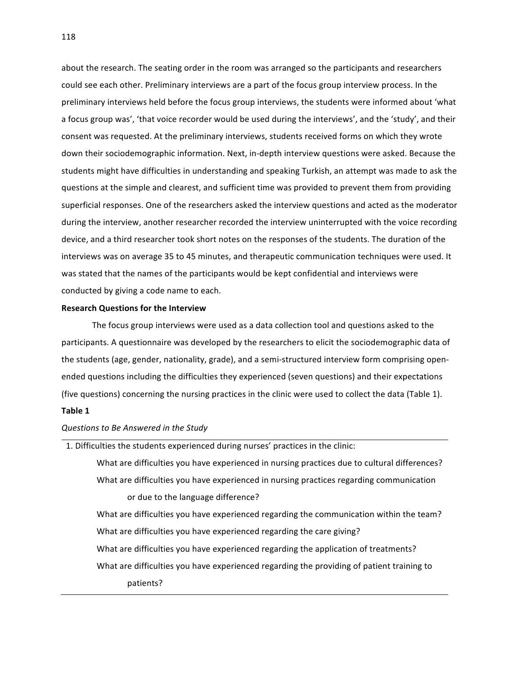about the research. The seating order in the room was arranged so the participants and researchers could see each other. Preliminary interviews are a part of the focus group interview process. In the preliminary interviews held before the focus group interviews, the students were informed about 'what a focus group was', 'that voice recorder would be used during the interviews', and the 'study', and their consent was requested. At the preliminary interviews, students received forms on which they wrote down their sociodemographic information. Next, in-depth interview questions were asked. Because the students might have difficulties in understanding and speaking Turkish, an attempt was made to ask the questions at the simple and clearest, and sufficient time was provided to prevent them from providing superficial responses. One of the researchers asked the interview questions and acted as the moderator during the interview, another researcher recorded the interview uninterrupted with the voice recording device, and a third researcher took short notes on the responses of the students. The duration of the interviews was on average 35 to 45 minutes, and therapeutic communication techniques were used. It was stated that the names of the participants would be kept confidential and interviews were conducted by giving a code name to each.

# **Research Questions for the Interview**

The focus group interviews were used as a data collection tool and questions asked to the participants. A questionnaire was developed by the researchers to elicit the sociodemographic data of the students (age, gender, nationality, grade), and a semi-structured interview form comprising openended questions including the difficulties they experienced (seven questions) and their expectations (five questions) concerning the nursing practices in the clinic were used to collect the data (Table 1).

# **Table 1**

### *Questions to Be Answered in the Study*

1. Difficulties the students experienced during nurses' practices in the clinic: What are difficulties you have experienced in nursing practices due to cultural differences? What are difficulties you have experienced in nursing practices regarding communication or due to the language difference? What are difficulties you have experienced regarding the communication within the team? What are difficulties you have experienced regarding the care giving? What are difficulties you have experienced regarding the application of treatments? What are difficulties you have experienced regarding the providing of patient training to patients?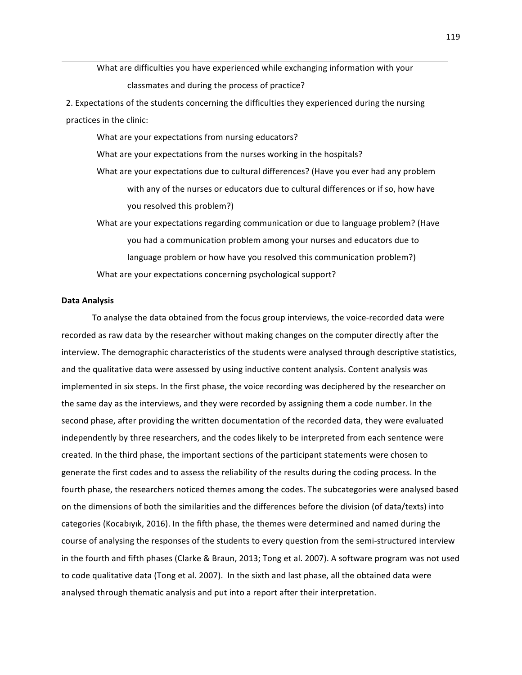What are difficulties you have experienced while exchanging information with your classmates and during the process of practice?

2. Expectations of the students concerning the difficulties they experienced during the nursing practices in the clinic:

What are your expectations from nursing educators?

What are your expectations from the nurses working in the hospitals?

What are your expectations due to cultural differences? (Have you ever had any problem with any of the nurses or educators due to cultural differences or if so, how have you resolved this problem?)

What are your expectations regarding communication or due to language problem? (Have you had a communication problem among your nurses and educators due to language problem or how have you resolved this communication problem?) What are your expectations concerning psychological support?

# **Data Analysis**

To analyse the data obtained from the focus group interviews, the voice-recorded data were recorded as raw data by the researcher without making changes on the computer directly after the interview. The demographic characteristics of the students were analysed through descriptive statistics, and the qualitative data were assessed by using inductive content analysis. Content analysis was implemented in six steps. In the first phase, the voice recording was deciphered by the researcher on the same day as the interviews, and they were recorded by assigning them a code number. In the second phase, after providing the written documentation of the recorded data, they were evaluated independently by three researchers, and the codes likely to be interpreted from each sentence were created. In the third phase, the important sections of the participant statements were chosen to generate the first codes and to assess the reliability of the results during the coding process. In the fourth phase, the researchers noticed themes among the codes. The subcategories were analysed based on the dimensions of both the similarities and the differences before the division (of data/texts) into categories (Kocabıyık, 2016). In the fifth phase, the themes were determined and named during the course of analysing the responses of the students to every question from the semi-structured interview in the fourth and fifth phases (Clarke & Braun, 2013; Tong et al. 2007). A software program was not used to code qualitative data (Tong et al. 2007). In the sixth and last phase, all the obtained data were analysed through thematic analysis and put into a report after their interpretation.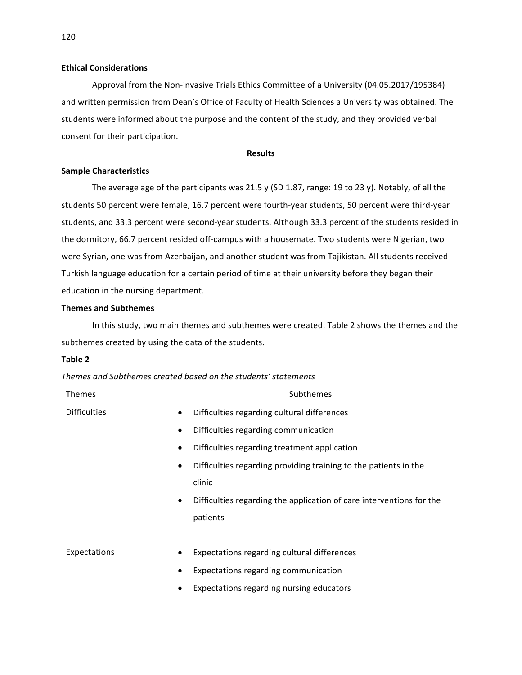# **Ethical Considerations**

Approval from the Non-invasive Trials Ethics Committee of a University (04.05.2017/195384) and written permission from Dean's Office of Faculty of Health Sciences a University was obtained. The students were informed about the purpose and the content of the study, and they provided verbal consent for their participation.

## **Results**

# **Sample Characteristics**

The average age of the participants was 21.5 y (SD 1.87, range: 19 to 23 y). Notably, of all the students 50 percent were female, 16.7 percent were fourth-year students, 50 percent were third-year students, and 33.3 percent were second-year students. Although 33.3 percent of the students resided in the dormitory, 66.7 percent resided off-campus with a housemate. Two students were Nigerian, two were Syrian, one was from Azerbaijan, and another student was from Tajikistan. All students received Turkish language education for a certain period of time at their university before they began their education in the nursing department.

# **Themes and Subthemes**

In this study, two main themes and subthemes were created. Table 2 shows the themes and the subthemes created by using the data of the students.

## **Table 2**

| Themes              |   | Subthemes                                                            |
|---------------------|---|----------------------------------------------------------------------|
| <b>Difficulties</b> | ٠ | Difficulties regarding cultural differences                          |
|                     | ٠ | Difficulties regarding communication                                 |
|                     | ٠ | Difficulties regarding treatment application                         |
|                     |   | Difficulties regarding providing training to the patients in the     |
|                     |   | clinic                                                               |
|                     |   | Difficulties regarding the application of care interventions for the |
|                     |   | patients                                                             |
|                     |   |                                                                      |
| Expectations        |   | Expectations regarding cultural differences                          |
|                     | ٠ | Expectations regarding communication                                 |
|                     |   | Expectations regarding nursing educators                             |
|                     |   |                                                                      |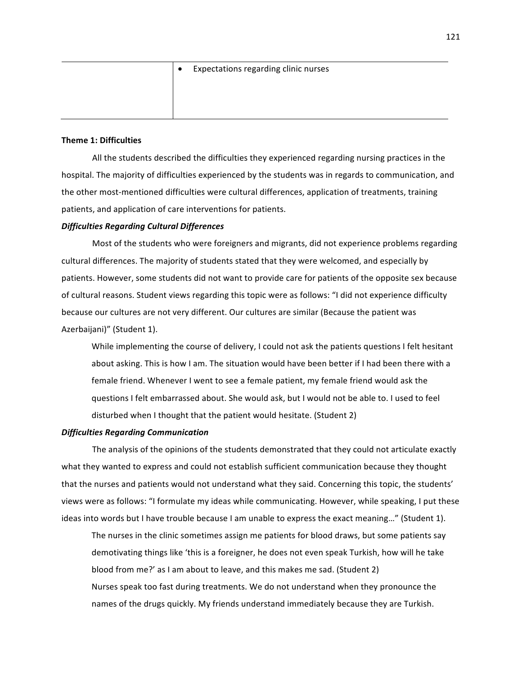| $\bullet$ | Expectations regarding clinic nurses |
|-----------|--------------------------------------|
|           |                                      |
|           |                                      |
|           |                                      |

# **Theme 1: Difficulties**

All the students described the difficulties they experienced regarding nursing practices in the hospital. The majority of difficulties experienced by the students was in regards to communication, and the other most-mentioned difficulties were cultural differences, application of treatments, training patients, and application of care interventions for patients.

### *Difficulties Regarding Cultural Differences*

Most of the students who were foreigners and migrants, did not experience problems regarding cultural differences. The majority of students stated that they were welcomed, and especially by patients. However, some students did not want to provide care for patients of the opposite sex because of cultural reasons. Student views regarding this topic were as follows: "I did not experience difficulty because our cultures are not very different. Our cultures are similar (Because the patient was Azerbaijani)" (Student 1).

While implementing the course of delivery, I could not ask the patients questions I felt hesitant about asking. This is how I am. The situation would have been better if I had been there with a female friend. Whenever I went to see a female patient, my female friend would ask the questions I felt embarrassed about. She would ask, but I would not be able to. I used to feel disturbed when I thought that the patient would hesitate. (Student 2)

# *Difficulties Regarding Communication*

The analysis of the opinions of the students demonstrated that they could not articulate exactly what they wanted to express and could not establish sufficient communication because they thought that the nurses and patients would not understand what they said. Concerning this topic, the students' views were as follows: "I formulate my ideas while communicating. However, while speaking, I put these ideas into words but I have trouble because I am unable to express the exact meaning..." (Student 1).

The nurses in the clinic sometimes assign me patients for blood draws, but some patients say demotivating things like 'this is a foreigner, he does not even speak Turkish, how will he take blood from me?' as I am about to leave, and this makes me sad. (Student 2) Nurses speak too fast during treatments. We do not understand when they pronounce the names of the drugs quickly. My friends understand immediately because they are Turkish.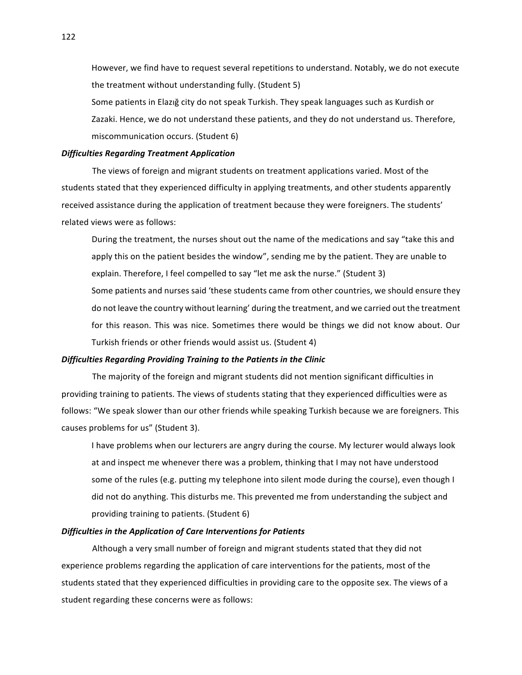However, we find have to request several repetitions to understand. Notably, we do not execute the treatment without understanding fully. (Student 5)

Some patients in Elazığ city do not speak Turkish. They speak languages such as Kurdish or Zazaki. Hence, we do not understand these patients, and they do not understand us. Therefore, miscommunication occurs. (Student 6)

# *Difficulties Regarding Treatment Application*

The views of foreign and migrant students on treatment applications varied. Most of the students stated that they experienced difficulty in applying treatments, and other students apparently received assistance during the application of treatment because they were foreigners. The students' related views were as follows:

During the treatment, the nurses shout out the name of the medications and say "take this and apply this on the patient besides the window", sending me by the patient. They are unable to explain. Therefore, I feel compelled to say "let me ask the nurse." (Student 3) Some patients and nurses said 'these students came from other countries, we should ensure they do not leave the country without learning' during the treatment, and we carried out the treatment for this reason. This was nice. Sometimes there would be things we did not know about. Our Turkish friends or other friends would assist us. (Student 4)

### *Difficulties Regarding Providing Training to the Patients in the Clinic*

The majority of the foreign and migrant students did not mention significant difficulties in providing training to patients. The views of students stating that they experienced difficulties were as follows: "We speak slower than our other friends while speaking Turkish because we are foreigners. This causes problems for us" (Student 3).

I have problems when our lecturers are angry during the course. My lecturer would always look at and inspect me whenever there was a problem, thinking that I may not have understood some of the rules (e.g. putting my telephone into silent mode during the course), even though  $I$ did not do anything. This disturbs me. This prevented me from understanding the subject and providing training to patients. (Student 6)

# **Difficulties in the Application of Care Interventions for Patients**

Although a very small number of foreign and migrant students stated that they did not experience problems regarding the application of care interventions for the patients, most of the students stated that they experienced difficulties in providing care to the opposite sex. The views of a student regarding these concerns were as follows: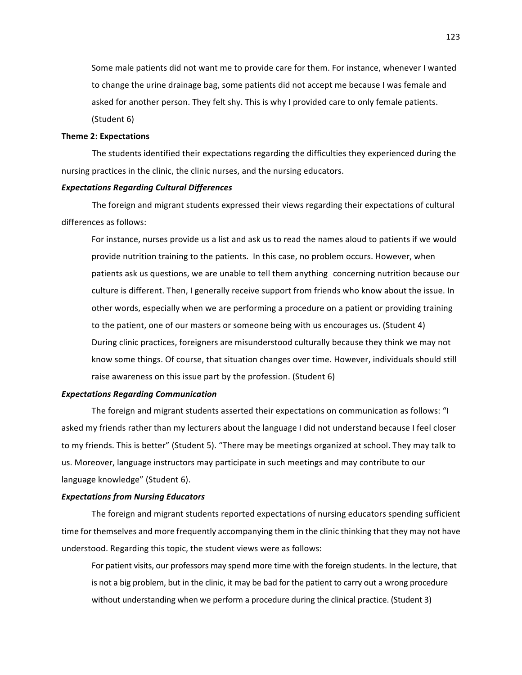Some male patients did not want me to provide care for them. For instance, whenever I wanted to change the urine drainage bag, some patients did not accept me because I was female and asked for another person. They felt shy. This is why I provided care to only female patients. (Student 6)

## **Theme 2: Expectations**

The students identified their expectations regarding the difficulties they experienced during the nursing practices in the clinic, the clinic nurses, and the nursing educators.

# *Expectations Regarding Cultural Differences*

The foreign and migrant students expressed their views regarding their expectations of cultural differences as follows:

For instance, nurses provide us a list and ask us to read the names aloud to patients if we would provide nutrition training to the patients. In this case, no problem occurs. However, when patients ask us questions, we are unable to tell them anything concerning nutrition because our culture is different. Then, I generally receive support from friends who know about the issue. In other words, especially when we are performing a procedure on a patient or providing training to the patient, one of our masters or someone being with us encourages us. (Student 4) During clinic practices, foreigners are misunderstood culturally because they think we may not know some things. Of course, that situation changes over time. However, individuals should still raise awareness on this issue part by the profession. (Student  $6$ )

# *Expectations Regarding Communication*

The foreign and migrant students asserted their expectations on communication as follows: "I asked my friends rather than my lecturers about the language I did not understand because I feel closer to my friends. This is better" (Student 5). "There may be meetings organized at school. They may talk to us. Moreover, language instructors may participate in such meetings and may contribute to our language knowledge" (Student 6).

### *Expectations from Nursing Educators*

The foreign and migrant students reported expectations of nursing educators spending sufficient time for themselves and more frequently accompanying them in the clinic thinking that they may not have understood. Regarding this topic, the student views were as follows:

For patient visits, our professors may spend more time with the foreign students. In the lecture, that is not a big problem, but in the clinic, it may be bad for the patient to carry out a wrong procedure without understanding when we perform a procedure during the clinical practice. (Student 3)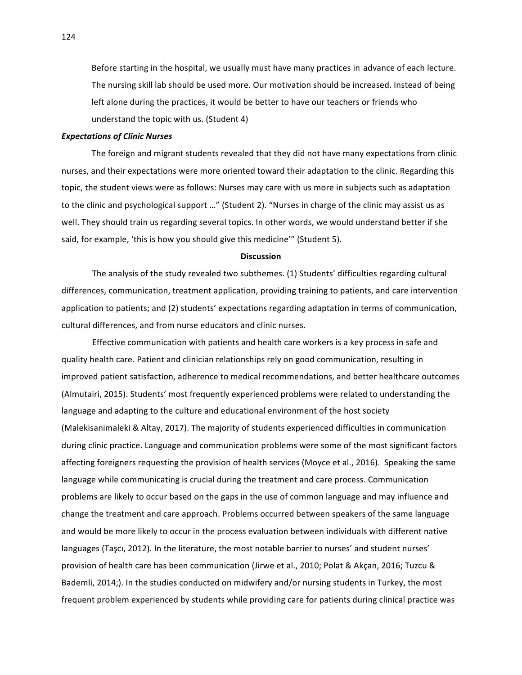Before starting in the hospital, we usually must have many practices in advance of each lecture. The nursing skill lab should be used more. Our motivation should be increased. Instead of being left alone during the practices, it would be better to have our teachers or friends who understand the topic with us. (Student 4)

# *Expectations of Clinic Nurses*

The foreign and migrant students revealed that they did not have many expectations from clinic nurses, and their expectations were more oriented toward their adaptation to the clinic. Regarding this topic, the student views were as follows: Nurses may care with us more in subjects such as adaptation to the clinic and psychological support ..." (Student 2). "Nurses in charge of the clinic may assist us as well. They should train us regarding several topics. In other words, we would understand better if she said, for example, 'this is how you should give this medicine'" (Student 5).

### **Discussion**

The analysis of the study revealed two subthemes. (1) Students' difficulties regarding cultural differences, communication, treatment application, providing training to patients, and care intervention application to patients; and (2) students' expectations regarding adaptation in terms of communication, cultural differences, and from nurse educators and clinic nurses.

Effective communication with patients and health care workers is a key process in safe and quality health care. Patient and clinician relationships rely on good communication, resulting in improved patient satisfaction, adherence to medical recommendations, and better healthcare outcomes (Almutairi, 2015). Students' most frequently experienced problems were related to understanding the language and adapting to the culture and educational environment of the host society (Malekisanimaleki & Altay, 2017). The majority of students experienced difficulties in communication during clinic practice. Language and communication problems were some of the most significant factors affecting foreigners requesting the provision of health services (Moyce et al., 2016). Speaking the same language while communicating is crucial during the treatment and care process. Communication problems are likely to occur based on the gaps in the use of common language and may influence and change the treatment and care approach. Problems occurred between speakers of the same language and would be more likely to occur in the process evaluation between individuals with different native languages (Taşcı, 2012). In the literature, the most notable barrier to nurses' and student nurses' provision of health care has been communication (Jirwe et al., 2010; Polat & Akçan, 2016; Tuzcu & Bademli, 2014;). In the studies conducted on midwifery and/or nursing students in Turkey, the most frequent problem experienced by students while providing care for patients during clinical practice was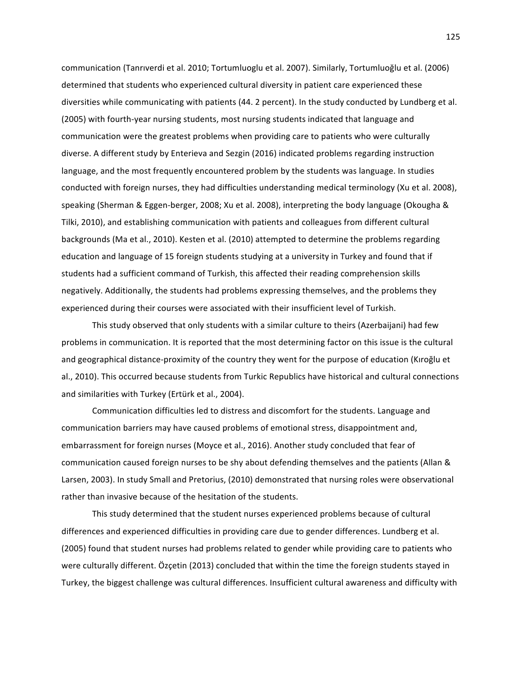communication (Tanrıverdi et al. 2010; Tortumluoglu et al. 2007). Similarly, Tortumluoğlu et al. (2006) determined that students who experienced cultural diversity in patient care experienced these diversities while communicating with patients (44. 2 percent). In the study conducted by Lundberg et al. (2005) with fourth-year nursing students, most nursing students indicated that language and communication were the greatest problems when providing care to patients who were culturally diverse. A different study by Enterieva and Sezgin (2016) indicated problems regarding instruction language, and the most frequently encountered problem by the students was language. In studies conducted with foreign nurses, they had difficulties understanding medical terminology (Xu et al. 2008), speaking (Sherman & Eggen-berger, 2008; Xu et al. 2008), interpreting the body language (Okougha & Tilki, 2010), and establishing communication with patients and colleagues from different cultural backgrounds (Ma et al., 2010). Kesten et al. (2010) attempted to determine the problems regarding education and language of 15 foreign students studying at a university in Turkey and found that if students had a sufficient command of Turkish, this affected their reading comprehension skills negatively. Additionally, the students had problems expressing themselves, and the problems they experienced during their courses were associated with their insufficient level of Turkish.

This study observed that only students with a similar culture to theirs (Azerbaijani) had few problems in communication. It is reported that the most determining factor on this issue is the cultural and geographical distance-proximity of the country they went for the purpose of education (Kıroğlu et al., 2010). This occurred because students from Turkic Republics have historical and cultural connections and similarities with Turkey (Ertürk et al., 2004).

Communication difficulties led to distress and discomfort for the students. Language and communication barriers may have caused problems of emotional stress, disappointment and, embarrassment for foreign nurses (Moyce et al., 2016). Another study concluded that fear of communication caused foreign nurses to be shy about defending themselves and the patients (Allan & Larsen, 2003). In study Small and Pretorius, (2010) demonstrated that nursing roles were observational rather than invasive because of the hesitation of the students.

This study determined that the student nurses experienced problems because of cultural differences and experienced difficulties in providing care due to gender differences. Lundberg et al. (2005) found that student nurses had problems related to gender while providing care to patients who were culturally different. Özçetin (2013) concluded that within the time the foreign students stayed in Turkey, the biggest challenge was cultural differences. Insufficient cultural awareness and difficulty with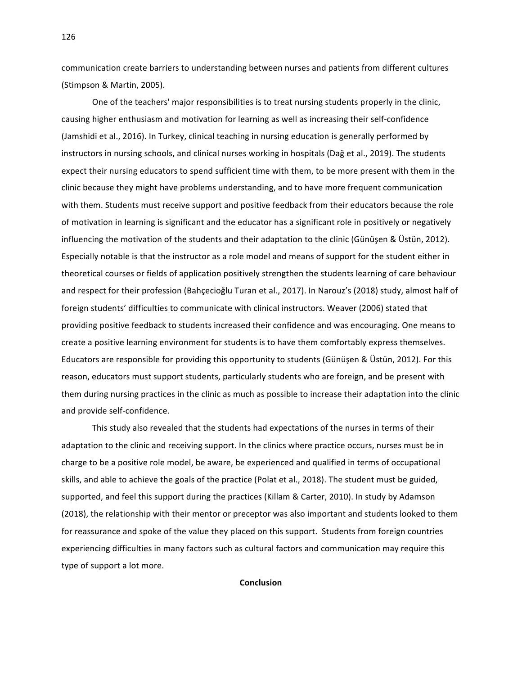communication create barriers to understanding between nurses and patients from different cultures (Stimpson & Martin, 2005).

One of the teachers' major responsibilities is to treat nursing students properly in the clinic, causing higher enthusiasm and motivation for learning as well as increasing their self-confidence (Jamshidi et al., 2016). In Turkey, clinical teaching in nursing education is generally performed by instructors in nursing schools, and clinical nurses working in hospitals (Dağ et al., 2019). The students expect their nursing educators to spend sufficient time with them, to be more present with them in the clinic because they might have problems understanding, and to have more frequent communication with them. Students must receive support and positive feedback from their educators because the role of motivation in learning is significant and the educator has a significant role in positively or negatively influencing the motivation of the students and their adaptation to the clinic (Günüşen & Üstün, 2012). Especially notable is that the instructor as a role model and means of support for the student either in theoretical courses or fields of application positively strengthen the students learning of care behaviour and respect for their profession (Bahçecioğlu Turan et al., 2017). In Narouz's (2018) study, almost half of foreign students' difficulties to communicate with clinical instructors. Weaver (2006) stated that providing positive feedback to students increased their confidence and was encouraging. One means to create a positive learning environment for students is to have them comfortably express themselves. Educators are responsible for providing this opportunity to students (Günüşen & Üstün, 2012). For this reason, educators must support students, particularly students who are foreign, and be present with them during nursing practices in the clinic as much as possible to increase their adaptation into the clinic and provide self-confidence.

This study also revealed that the students had expectations of the nurses in terms of their adaptation to the clinic and receiving support. In the clinics where practice occurs, nurses must be in charge to be a positive role model, be aware, be experienced and qualified in terms of occupational skills, and able to achieve the goals of the practice (Polat et al., 2018). The student must be guided, supported, and feel this support during the practices (Killam & Carter, 2010). In study by Adamson (2018), the relationship with their mentor or preceptor was also important and students looked to them for reassurance and spoke of the value they placed on this support. Students from foreign countries experiencing difficulties in many factors such as cultural factors and communication may require this type of support a lot more.

**Conclusion**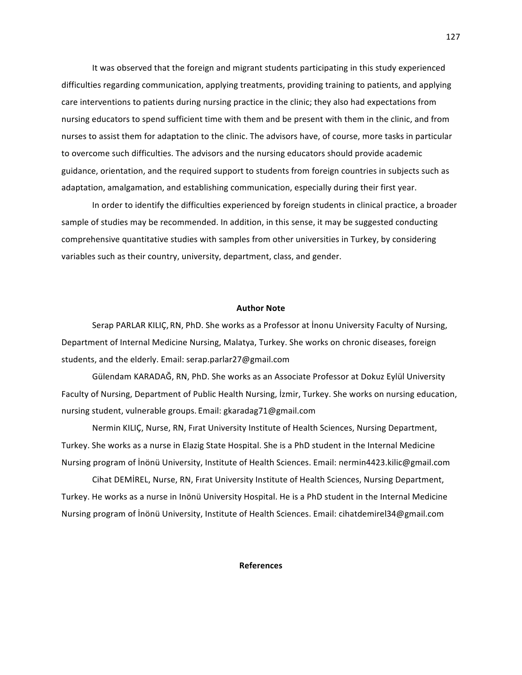It was observed that the foreign and migrant students participating in this study experienced difficulties regarding communication, applying treatments, providing training to patients, and applying care interventions to patients during nursing practice in the clinic; they also had expectations from nursing educators to spend sufficient time with them and be present with them in the clinic, and from nurses to assist them for adaptation to the clinic. The advisors have, of course, more tasks in particular to overcome such difficulties. The advisors and the nursing educators should provide academic guidance, orientation, and the required support to students from foreign countries in subjects such as adaptation, amalgamation, and establishing communication, especially during their first year.

In order to identify the difficulties experienced by foreign students in clinical practice, a broader sample of studies may be recommended. In addition, in this sense, it may be suggested conducting comprehensive quantitative studies with samples from other universities in Turkey, by considering variables such as their country, university, department, class, and gender.

## **Author Note**

Serap PARLAR KILIÇ, RN, PhD. She works as a Professor at İnonu University Faculty of Nursing, Department of Internal Medicine Nursing, Malatya, Turkey. She works on chronic diseases, foreign students, and the elderly. Email: serap.parlar27@gmail.com

Gülendam KARADAĞ, RN, PhD. She works as an Associate Professor at Dokuz Eylül University Faculty of Nursing, Department of Public Health Nursing, İzmir, Turkey. She works on nursing education, nursing student, vulnerable groups. Email: gkaradag71@gmail.com

Nermin KILIC, Nurse, RN, Firat University Institute of Health Sciences, Nursing Department, Turkey. She works as a nurse in Elazig State Hospital. She is a PhD student in the Internal Medicine Nursing program of Inönü University, Institute of Health Sciences. Email: nermin4423.kilic@gmail.com

Cihat DEMIREL, Nurse, RN, Firat University Institute of Health Sciences, Nursing Department, Turkey. He works as a nurse in Inönü University Hospital. He is a PhD student in the Internal Medicine Nursing program of İnönü University, Institute of Health Sciences. Email: cihatdemirel34@gmail.com

### **References**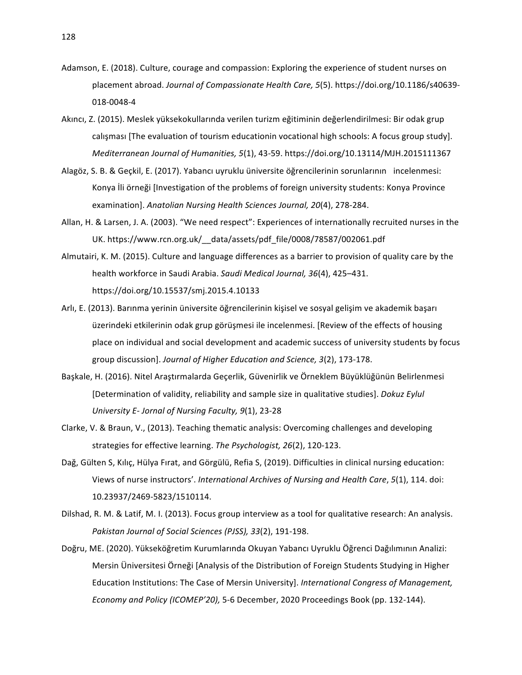- Adamson, E. (2018). Culture, courage and compassion: Exploring the experience of student nurses on placement abroad. *Journal of Compassionate Health Care, 5*(5). https://doi.org/10.1186/s40639-018-0048-4
- Akıncı, Z. (2015). Meslek yüksekokullarında verilen turizm eğitiminin değerlendirilmesi: Bir odak grup calışması [The evaluation of tourism educationin vocational high schools: A focus group study]. *Mediterranean Journal of Humanities, 5*(1), 43-59. https://doi.org/10.13114/MJH.2015111367
- Alagöz, S. B. & Geçkil, E. (2017). Yabancı uyruklu üniversite öğrencilerinin sorunlarının incelenmesi: Konya İli örneği [Investigation of the problems of foreign university students: Konya Province examination]. *Anatolian Nursing Health Sciences Journal, 20*(4), 278-284.
- Allan, H. & Larsen, J. A. (2003). "We need respect": Experiences of internationally recruited nurses in the UK. https://www.rcn.org.uk/\_data/assets/pdf\_file/0008/78587/002061.pdf
- Almutairi, K. M. (2015). Culture and language differences as a barrier to provision of quality care by the health workforce in Saudi Arabia. Saudi Medical Journal, 36(4), 425-431. https://doi.org/10.15537/smj.2015.4.10133
- Arlı, E. (2013). Barınma yerinin üniversite öğrencilerinin kişisel ve sosyal gelişim ve akademik başarı üzerindeki etkilerinin odak grup görüşmesi ile incelenmesi. [Review of the effects of housing place on individual and social development and academic success of university students by focus group discussion]. Journal of Higher Education and Science, 3(2), 173-178.
- Başkale, H. (2016). Nitel Araştırmalarda Geçerlik, Güvenirlik ve Örneklem Büyüklüğünün Belirlenmesi [Determination of validity, reliability and sample size in qualitative studies]. *Dokuz Eylul University E- Jornal of Nursing Faculty, 9*(1), 23-28
- Clarke, V. & Braun, V., (2013). Teaching thematic analysis: Overcoming challenges and developing strategies for effective learning. The Psychologist, 26(2), 120-123.
- Dağ, Gülten S, Kılıç, Hülya Fırat, and Görgülü, Refia S, (2019). Difficulties in clinical nursing education: Views of nurse instructors'. *International Archives of Nursing and Health Care*, 5(1), 114. doi: 10.23937/2469-5823/1510114.
- Dilshad, R. M. & Latif, M. I. (2013). Focus group interview as a tool for qualitative research: An analysis. *Pakistan Journal of Social Sciences (PJSS), 33*(2), 191-198.
- Doğru, ME. (2020). Yükseköğretim Kurumlarında Okuyan Yabancı Uyruklu Öğrenci Dağılımının Analizi: Mersin Üniversitesi Örneği [Analysis of the Distribution of Foreign Students Studying in Higher Education Institutions: The Case of Mersin University]. *International Congress of Management*, *Economy and Policy (ICOMEP'20),* 5-6 December, 2020 Proceedings Book (pp. 132-144).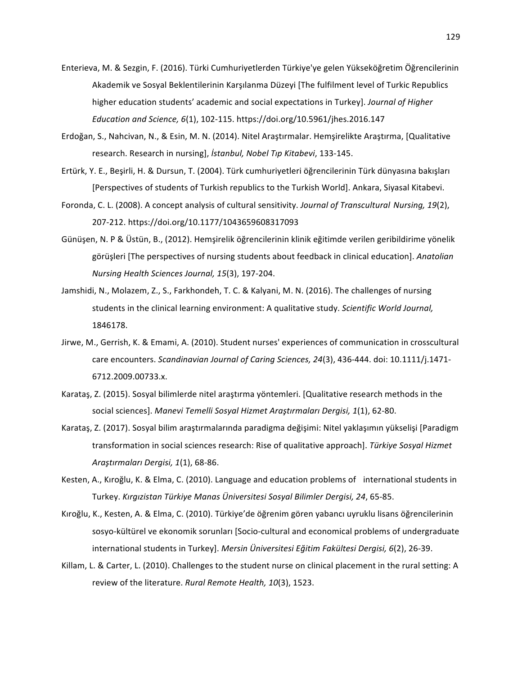- Enterieva, M. & Sezgin, F. (2016). Türki Cumhuriyetlerden Türkiye'ye gelen Yükseköğretim Öğrencilerinin Akademik ve Sosyal Beklentilerinin Karşılanma Düzeyi [The fulfilment level of Turkic Republics higher education students' academic and social expectations in Turkey]. *Journal of Higher Education and Science, 6*(1), 102-115. https://doi.org/10.5961/jhes.2016.147
- Erdoğan, S., Nahcivan, N., & Esin, M. N. (2014). Nitel Araştırmalar. Hemşirelikte Araştırma, [Qualitative research. Research in nursing], *İstanbul, Nobel Tıp Kitabevi*, 133-145.
- Ertürk, Y. E., Beşirli, H. & Dursun, T. (2004). Türk cumhuriyetleri öğrencilerinin Türk dünyasına bakışları [Perspectives of students of Turkish republics to the Turkish World]. Ankara, Siyasal Kitabevi.
- Foronda, C. L. (2008). A concept analysis of cultural sensitivity. *Journal of Transcultural Nursing, 19*(2), 207-212. https://doi.org/10.1177/1043659608317093
- Günüşen, N. P & Üstün, B., (2012). Hemşirelik öğrencilerinin klinik eğitimde verilen geribildirime yönelik görüşleri [The perspectives of nursing students about feedback in clinical education]. Anatolian *Nursing Health Sciences Journal, 15*(3), 197-204.
- Jamshidi, N., Molazem, Z., S., Farkhondeh, T. C. & Kalyani, M. N. (2016). The challenges of nursing students in the clinical learning environment: A qualitative study. Scientific World Journal, 1846178.
- Jirwe, M., Gerrish, K. & Emami, A. (2010). Student nurses' experiences of communication in crosscultural care encounters. *Scandinavian Journal of Caring Sciences, 24*(3), 436-444. doi: 10.1111/j.1471-6712.2009.00733.x.
- Karataş, Z. (2015). Sosyal bilimlerde nitel araştırma yöntemleri. [Qualitative research methods in the social sciences]. Manevi Temelli Sosyal Hizmet Araştırmaları Dergisi, 1(1), 62-80.
- Karataş, Z. (2017). Sosyal bilim araştırmalarında paradigma değişimi: Nitel yaklaşımın yükselişi [Paradigm transformation in social sciences research: Rise of qualitative approach]. Türkiye Sosyal Hizmet *Araştırmaları Dergisi, 1*(1), 68-86.
- Kesten, A., Kıroğlu, K. & Elma, C. (2010). Language and education problems of international students in Turkey. *Kırgızistan Türkiye Manas Üniversitesi Sosyal Bilimler Dergisi, 24*, 65-85.
- Kıroğlu, K., Kesten, A. & Elma, C. (2010). Türkiye'de öğrenim gören yabancı uyruklu lisans öğrencilerinin sosyo-kültürel ve ekonomik sorunları [Socio-cultural and economical problems of undergraduate international students in Turkey]. *Mersin Üniversitesi Eğitim Fakültesi Dergisi, 6*(2), 26-39.
- Killam, L. & Carter, L. (2010). Challenges to the student nurse on clinical placement in the rural setting: A review of the literature. *Rural Remote Health, 10*(3), 1523.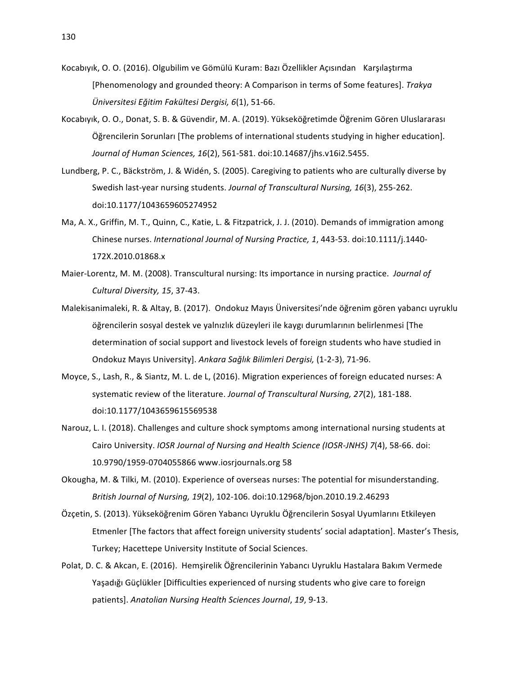- Kocabıyık, O. O. (2016). Olgubilim ve Gömülü Kuram: Bazı Özellikler Açısından Karşılaştırma [Phenomenology and grounded theory: A Comparison in terms of Some features]. *Trakya Üniversitesi Eğitim Fakültesi Dergisi, 6*(1), 51-66.
- Kocabıyık, O. O., Donat, S. B. & Güvendir, M. A. (2019). Yükseköğretimde Öğrenim Gören Uluslararası Öğrencilerin Sorunları [The problems of international students studying in higher education]. *Journal of Human Sciences, 16*(2), 561-581. doi:10.14687/jhs.v16i2.5455.
- Lundberg, P. C., Bäckström, J. & Widén, S. (2005). Caregiving to patients who are culturally diverse by Swedish last-year nursing students. *Journal of Transcultural Nursing, 16*(3), 255-262. doi:10.1177/1043659605274952
- Ma, A. X., Griffin, M. T., Quinn, C., Katie, L. & Fitzpatrick, J. J. (2010). Demands of immigration among Chinese nurses. *International Journal of Nursing Practice, 1*, 443-53. doi:10.1111/j.1440-172X.2010.01868.x
- Maier-Lorentz, M. M. (2008). Transcultural nursing: Its importance in nursing practice. *Journal of Cultural Diversity, 15*, 37-43.
- Malekisanimaleki, R. & Altay, B. (2017). Ondokuz Mayıs Üniversitesi'nde öğrenim gören yabancı uyruklu öğrencilerin sosyal destek ve yalnızlık düzeyleri ile kaygı durumlarının belirlenmesi [The determination of social support and livestock levels of foreign students who have studied in Ondokuz Mayıs University]. *Ankara Sağlık Bilimleri Dergisi,* (1-2-3), 71-96.
- Moyce, S., Lash, R., & Siantz, M. L. de L, (2016). Migration experiences of foreign educated nurses: A systematic review of the literature. Journal of Transcultural Nursing, 27(2), 181-188. doi:10.1177/1043659615569538
- Narouz, L. I. (2018). Challenges and culture shock symptoms among international nursing students at Cairo University. *IOSR Journal of Nursing and Health Science (IOSR-JNHS)* 7(4), 58-66. doi: 10.9790/1959-0704055866 www.iosrjournals.org 58
- Okougha, M. & Tilki, M. (2010). Experience of overseas nurses: The potential for misunderstanding. *British Journal of Nursing, 19*(2), 102-106. doi:10.12968/bjon.2010.19.2.46293
- Özçetin, S. (2013). Yükseköğrenim Gören Yabancı Uyruklu Öğrencilerin Sosyal Uyumlarını Etkileyen Etmenler [The factors that affect foreign university students' social adaptation]. Master's Thesis, Turkey; Hacettepe University Institute of Social Sciences.
- Polat, D. C. & Akcan, E. (2016). Hemşirelik Öğrencilerinin Yabancı Uyruklu Hastalara Bakım Vermede Yaşadığı Güçlükler [Difficulties experienced of nursing students who give care to foreign patients]. Anatolian Nursing Health Sciences Journal, 19, 9-13.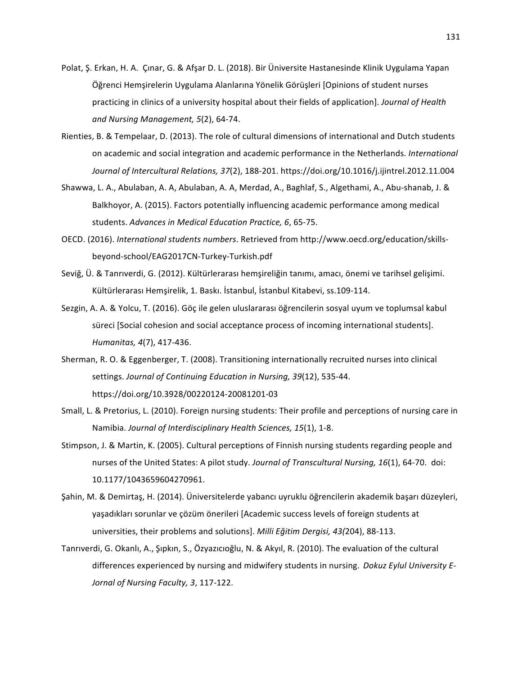- Polat, Ş. Erkan, H. A. Çınar, G. & Afşar D. L. (2018). Bir Üniversite Hastanesinde Klinik Uygulama Yapan Öğrenci Hemşirelerin Uygulama Alanlarına Yönelik Görüşleri [Opinions of student nurses practicing in clinics of a university hospital about their fields of application]. *Journal of Health and Nursing Management, 5*(2), 64-74.
- Rienties, B. & Tempelaar, D. (2013). The role of cultural dimensions of international and Dutch students on academic and social integration and academic performance in the Netherlands. International *Journal of Intercultural Relations, 37*(2), 188-201. https://doi.org/10.1016/j.ijintrel.2012.11.004
- Shawwa, L. A., Abulaban, A. A, Abulaban, A. A, Merdad, A., Baghlaf, S., Algethami, A., Abu-shanab, J. & Balkhoyor, A. (2015). Factors potentially influencing academic performance among medical students. *Advances in Medical Education Practice, 6*, 65-75.
- OECD. (2016). *International students numbers*. Retrieved from http://www.oecd.org/education/skillsbeyond-school/EAG2017CN-Turkey-Turkish.pdf
- Seviğ, Ü. & Tanrıverdi, G. (2012). Kültürlerarası hemşireliğin tanımı, amacı, önemi ve tarihsel gelişimi. Kültürlerarası Hemşirelik, 1. Baskı. İstanbul, İstanbul Kitabevi, ss.109-114.
- Sezgin, A. A. & Yolcu, T. (2016). Göç ile gelen uluslararası öğrencilerin sosyal uyum ve toplumsal kabul süreci [Social cohesion and social acceptance process of incoming international students]. *Humanitas, 4*(7), 417-436.
- Sherman, R. O. & Eggenberger, T. (2008). Transitioning internationally recruited nurses into clinical settings. Journal of Continuing Education in Nursing, 39(12), 535-44. https://doi.org/10.3928/00220124-20081201-03
- Small, L. & Pretorius, L. (2010). Foreign nursing students: Their profile and perceptions of nursing care in Namibia. Journal of Interdisciplinary Health Sciences, 15(1), 1-8.
- Stimpson, J. & Martin, K. (2005). Cultural perceptions of Finnish nursing students regarding people and nurses of the United States: A pilot study. *Journal of Transcultural Nursing, 16*(1), 64-70. doi: 10.1177/1043659604270961.
- Şahin, M. & Demirtaş, H. (2014). Üniversitelerde yabancı uyruklu öğrencilerin akademik başarı düzeyleri, yaşadıkları sorunlar ve çözüm önerileri [Academic success levels of foreign students at universities, their problems and solutions]. *Milli Eğitim Dergisi, 43(204)*, 88-113.
- Tanrıverdi, G. Okanlı, A., Şıpkın, S., Özyazıcıoğlu, N. & Akyıl, R. (2010). The evaluation of the cultural differences experienced by nursing and midwifery students in nursing. *Dokuz Eylul University E-Jornal of Nursing Faculty, 3*, 117-122.